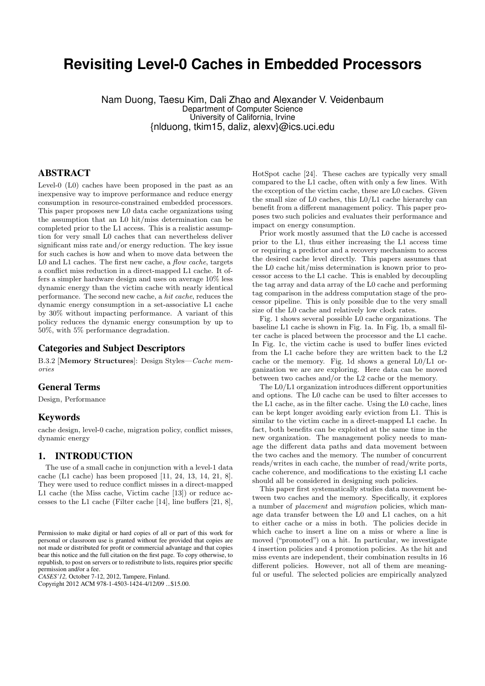# **Revisiting Level-0 Caches in Embedded Processors**

Nam Duong, Taesu Kim, Dali Zhao and Alexander V. Veidenbaum Department of Computer Science University of California, Irvine {nlduong, tkim15, daliz, alexv}@ics.uci.edu

# ABSTRACT

Level-0 (L0) caches have been proposed in the past as an inexpensive way to improve performance and reduce energy consumption in resource-constrained embedded processors. This paper proposes new L0 data cache organizations using the assumption that an L0 hit/miss determination can be completed prior to the L1 access. This is a realistic assumption for very small L0 caches that can nevertheless deliver significant miss rate and/or energy reduction. The key issue for such caches is how and when to move data between the L0 and L1 caches. The first new cache, a *flow cache*, targets a conflict miss reduction in a direct-mapped L1 cache. It offers a simpler hardware design and uses on average 10% less dynamic energy than the victim cache with nearly identical performance. The second new cache, a *hit cache*, reduces the dynamic energy consumption in a set-associative L1 cache by 30% without impacting performance. A variant of this policy reduces the dynamic energy consumption by up to 50%, with 5% performance degradation.

## Categories and Subject Descriptors

B.3.2 [**Memory Structures**]: Design Styles—*Cache memories*

# General Terms

Design, Performance

## Keywords

cache design, level-0 cache, migration policy, conflict misses, dynamic energy

## 1. INTRODUCTION

The use of a small cache in conjunction with a level-1 data cache (L1 cache) has been proposed [11, 24, 13, 14, 21, 8]. They were used to reduce conflict misses in a direct-mapped L1 cache (the Miss cache, Victim cache [13]) or reduce accesses to the L1 cache (Filter cache [14], line buffers [21, 8],

*CASES'12,* October 7-12, 2012, Tampere, Finland.

Copyright 2012 ACM 978-1-4503-1424-4/12/09 ...\$15.00.

HotSpot cache [24]. These caches are typically very small compared to the L1 cache, often with only a few lines. With the exception of the victim cache, these are L0 caches. Given the small size of L0 caches, this L0/L1 cache hierarchy can benefit from a different management policy. This paper proposes two such policies and evaluates their performance and impact on energy consumption.

Prior work mostly assumed that the L0 cache is accessed prior to the L1, thus either increasing the L1 access time or requiring a predictor and a recovery mechanism to access the desired cache level directly. This papers assumes that the L0 cache hit/miss determination is known prior to processor access to the L1 cache. This is enabled by decoupling the tag array and data array of the L0 cache and performing tag comparison in the address computation stage of the processor pipeline. This is only possible due to the very small size of the L0 cache and relatively low clock rates.

Fig. 1 shows several possible L0 cache organizations. The baseline L1 cache is shown in Fig. 1a. In Fig. 1b, a small filter cache is placed between the processor and the L1 cache. In Fig. 1c, the victim cache is used to buffer lines evicted from the L1 cache before they are written back to the L2 cache or the memory. Fig. 1d shows a general L0/L1 organization we are are exploring. Here data can be moved between two caches and/or the L2 cache or the memory.

The L0/L1 organization introduces different opportunities and options. The L0 cache can be used to filter accesses to the L1 cache, as in the filter cache. Using the L0 cache, lines can be kept longer avoiding early eviction from L1. This is similar to the victim cache in a direct-mapped L1 cache. In fact, both benefits can be exploited at the same time in the new organization. The management policy needs to manage the different data paths and data movement between the two caches and the memory. The number of concurrent reads/writes in each cache, the number of read/write ports, cache coherence, and modifications to the existing L1 cache should all be considered in designing such policies.

This paper first systematically studies data movement between two caches and the memory. Specifically, it explores a number of *placement* and *migration* policies, which manage data transfer between the L0 and L1 caches, on a hit to either cache or a miss in both. The policies decide in which cache to insert a line on a miss or where a line is moved ("promoted") on a hit. In particular, we investigate 4 insertion policies and 4 promotion policies. As the hit and miss events are independent, their combination results in 16 different policies. However, not all of them are meaningful or useful. The selected policies are empirically analyzed

Permission to make digital or hard copies of all or part of this work for personal or classroom use is granted without fee provided that copies are not made or distributed for profit or commercial advantage and that copies bear this notice and the full citation on the first page. To copy otherwise, to republish, to post on servers or to redistribute to lists, requires prior specific permission and/or a fee.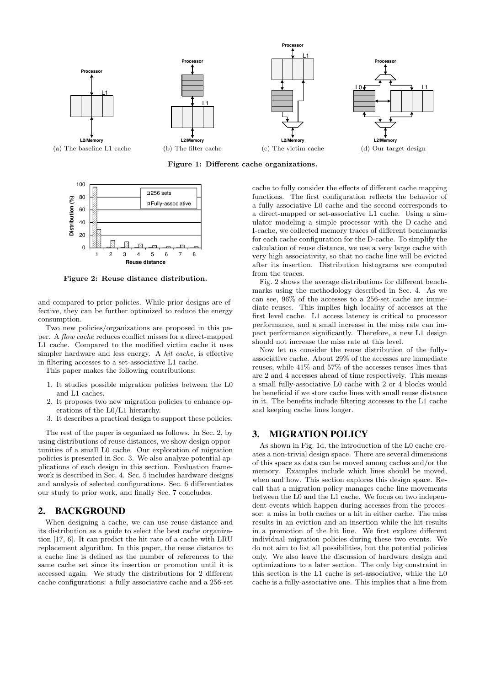

**Figure 1: Different cache organizations.**



**Figure 2: Reuse distance distribution.**

and compared to prior policies. While prior designs are effective, they can be further optimized to reduce the energy consumption.

Two new policies/organizations are proposed in this paper. A *flow cache* reduces conflict misses for a direct-mapped L1 cache. Compared to the modified victim cache it uses simpler hardware and less energy. A *hit cache*, is effective in filtering accesses to a set-associative L1 cache.

This paper makes the following contributions:

- 1. It studies possible migration policies between the L0 and L1 caches.
- 2. It proposes two new migration policies to enhance operations of the L0/L1 hierarchy.
- 3. It describes a practical design to support these policies.

The rest of the paper is organized as follows. In Sec. 2, by using distributions of reuse distances, we show design opportunities of a small L0 cache. Our exploration of migration policies is presented in Sec. 3. We also analyze potential applications of each design in this section. Evaluation framework is described in Sec. 4. Sec. 5 includes hardware designs and analysis of selected configurations. Sec. 6 differentiates our study to prior work, and finally Sec. 7 concludes.

## 2. BACKGROUND

When designing a cache, we can use reuse distance and its distribution as a guide to select the best cache organization [17, 6]. It can predict the hit rate of a cache with LRU replacement algorithm. In this paper, the reuse distance to a cache line is defined as the number of references to the same cache set since its insertion or promotion until it is accessed again. We study the distributions for 2 different cache configurations: a fully associative cache and a 256-set

cache to fully consider the effects of different cache mapping functions. The first configuration reflects the behavior of a fully associative L0 cache and the second corresponds to a direct-mapped or set-associative L1 cache. Using a simulator modeling a simple processor with the D-cache and I-cache, we collected memory traces of different benchmarks for each cache configuration for the D-cache. To simplify the calculation of reuse distance, we use a very large cache with very high associativity, so that no cache line will be evicted after its insertion. Distribution histograms are computed from the traces.

Fig. 2 shows the average distributions for different benchmarks using the methodology described in Sec. 4. As we can see, 96% of the accesses to a 256-set cache are immediate reuses. This implies high locality of accesses at the first level cache. L1 access latency is critical to processor performance, and a small increase in the miss rate can impact performance significantly. Therefore, a new L1 design should not increase the miss rate at this level.

Now let us consider the reuse distribution of the fullyassociative cache. About 29% of the accesses are immediate reuses, while 41% and 57% of the accesses reuses lines that are 2 and 4 accesses ahead of time respectively. This means a small fully-associative L0 cache with 2 or 4 blocks would be beneficial if we store cache lines with small reuse distance in it. The benefits include filtering accesses to the L1 cache and keeping cache lines longer.

## 3. MIGRATION POLICY

As shown in Fig. 1d, the introduction of the L0 cache creates a non-trivial design space. There are several dimensions of this space as data can be moved among caches and/or the memory. Examples include which lines should be moved, when and how. This section explores this design space. Recall that a migration policy manages cache line movements between the L0 and the L1 cache. We focus on two independent events which happen during accesses from the processor: a miss in both caches or a hit in either cache. The miss results in an eviction and an insertion while the hit results in a promotion of the hit line. We first explore different individual migration policies during these two events. We do not aim to list all possibilities, but the potential policies only. We also leave the discussion of hardware design and optimizations to a later section. The only big constraint in this section is the L1 cache is set-associative, while the L0 cache is a fully-associative one. This implies that a line from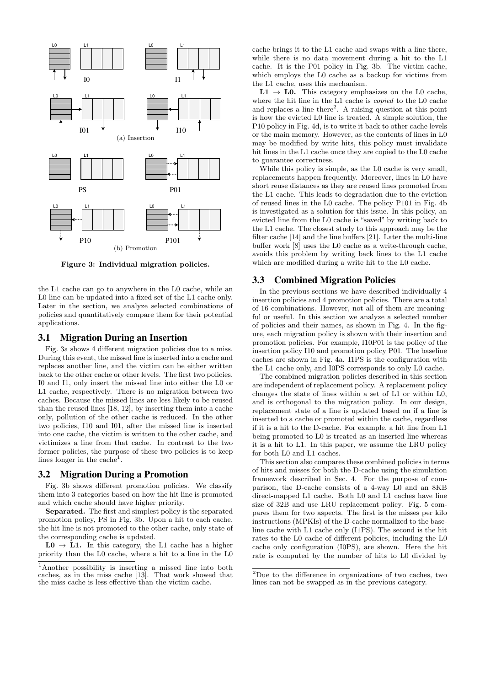

**Figure 3: Individual migration policies.**

the L1 cache can go to anywhere in the L0 cache, while an L0 line can be updated into a fixed set of the L1 cache only. Later in the section, we analyze selected combinations of policies and quantitatively compare them for their potential applications.

#### 3.1 Migration During an Insertion

Fig. 3a shows 4 different migration policies due to a miss. During this event, the missed line is inserted into a cache and replaces another line, and the victim can be either written back to the other cache or other levels. The first two policies, I0 and I1, only insert the missed line into either the L0 or L1 cache, respectively. There is no migration between two caches. Because the missed lines are less likely to be reused than the reused lines [18, 12], by inserting them into a cache only, pollution of the other cache is reduced. In the other two policies, I10 and I01, after the missed line is inserted into one cache, the victim is written to the other cache, and victimizes a line from that cache. In contrast to the two former policies, the purpose of these two policies is to keep lines longer in the cache<sup>1</sup>.

## 3.2 Migration During a Promotion

Fig. 3b shows different promotion policies. We classify them into 3 categories based on how the hit line is promoted and which cache should have higher priority.

**Separated.** The first and simplest policy is the separated promotion policy, PS in Fig. 3b. Upon a hit to each cache, the hit line is not promoted to the other cache, only state of the corresponding cache is updated.

 $L0 \rightarrow L1$ . In this category, the L1 cache has a higher priority than the L0 cache, where a hit to a line in the L0 cache brings it to the L1 cache and swaps with a line there, while there is no data movement during a hit to the L1 cache. It is the P01 policy in Fig. 3b. The victim cache, which employs the L0 cache as a backup for victims from the L1 cache, uses this mechanism.

 $L1 \rightarrow L0$ . This category emphasizes on the L0 cache, where the hit line in the L1 cache is *copied* to the L0 cache and replaces a line there<sup>2</sup>. A raising question at this point is how the evicted L0 line is treated. A simple solution, the P10 policy in Fig. 4d, is to write it back to other cache levels or the main memory. However, as the contents of lines in L0 may be modified by write hits, this policy must invalidate hit lines in the L1 cache once they are copied to the L0 cache to guarantee correctness.

While this policy is simple, as the L0 cache is very small. replacements happen frequently. Moreover, lines in L0 have short reuse distances as they are reused lines promoted from the L1 cache. This leads to degradation due to the eviction of reused lines in the L0 cache. The policy P101 in Fig. 4b is investigated as a solution for this issue. In this policy, an evicted line from the L0 cache is "saved" by writing back to the L1 cache. The closest study to this approach may be the filter cache [14] and the line buffers [21]. Later the multi-line buffer work [8] uses the L0 cache as a write-through cache, avoids this problem by writing back lines to the L1 cache which are modified during a write hit to the L0 cache.

## 3.3 Combined Migration Policies

In the previous sections we have described individually 4 insertion policies and 4 promotion policies. There are a total of 16 combinations. However, not all of them are meaningful or useful. In this section we analyze a selected number of policies and their names, as shown in Fig. 4. In the figure, each migration policy is shown with their insertion and promotion policies. For example, I10P01 is the policy of the insertion policy I10 and promotion policy P01. The baseline caches are shown in Fig. 4a. I1PS is the configuration with the L1 cache only, and I0PS corresponds to only L0 cache.

The combined migration policies described in this section are independent of replacement policy. A replacement policy changes the state of lines within a set of L1 or within L0, and is orthogonal to the migration policy. In our design, replacement state of a line is updated based on if a line is inserted to a cache or promoted within the cache, regardless if it is a hit to the D-cache. For example, a hit line from L1 being promoted to L0 is treated as an inserted line whereas it is a hit to L1. In this paper, we assume the LRU policy for both L0 and L1 caches.

This section also compares these combined policies in terms of hits and misses for both the D-cache using the simulation framework described in Sec. 4. For the purpose of comparison, the D-cache consists of a 4-way L0 and an 8KB direct-mapped L1 cache. Both L0 and L1 caches have line size of 32B and use LRU replacement policy. Fig. 5 compares them for two aspects. The first is the misses per kilo instructions (MPKIs) of the D-cache normalized to the baseline cache with L1 cache only (I1PS). The second is the hit rates to the L0 cache of different policies, including the L0 cache only configuration (I0PS), are shown. Here the hit rate is computed by the number of hits to L0 divided by

<sup>1</sup>Another possibility is inserting a missed line into both caches, as in the miss cache [13]. That work showed that the miss cache is less effective than the victim cache.

<sup>2</sup>Due to the difference in organizations of two caches, two lines can not be swapped as in the previous category.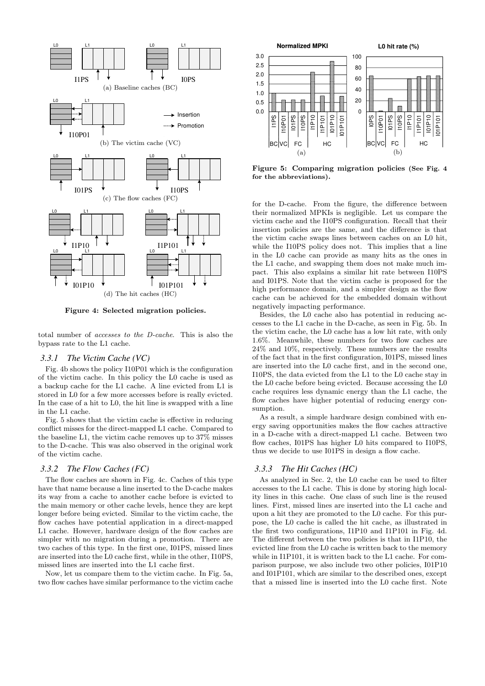

**Figure 4: Selected migration policies.**

total number of *accesses to the D-cache*. This is also the bypass rate to the L1 cache.

#### *3.3.1 The Victim Cache (VC)*

Fig. 4b shows the policy I10P01 which is the configuration of the victim cache. In this policy the L0 cache is used as a backup cache for the L1 cache. A line evicted from L1 is stored in L0 for a few more accesses before is really evicted. In the case of a hit to L0, the hit line is swapped with a line in the L1 cache.

Fig. 5 shows that the victim cache is effective in reducing conflict misses for the direct-mapped L1 cache. Compared to the baseline L1, the victim cache removes up to 37% misses to the D-cache. This was also observed in the original work of the victim cache.

## *3.3.2 The Flow Caches (FC)*

The flow caches are shown in Fig. 4c. Caches of this type have that name because a line inserted to the D-cache makes its way from a cache to another cache before is evicted to the main memory or other cache levels, hence they are kept longer before being evicted. Similar to the victim cache, the flow caches have potential application in a direct-mapped L1 cache. However, hardware design of the flow caches are simpler with no migration during a promotion. There are two caches of this type. In the first one, I01PS, missed lines are inserted into the L0 cache first, while in the other, I10PS, missed lines are inserted into the L1 cache first.

Now, let us compare them to the victim cache. In Fig. 5a, two flow caches have similar performance to the victim cache



**Figure 5: Comparing migration policies (See Fig. 4 for the abbreviations).**

for the D-cache. From the figure, the difference between their normalized MPKIs is negligible. Let us compare the victim cache and the I10PS configuration. Recall that their insertion policies are the same, and the difference is that the victim cache swaps lines between caches on an L0 hit, while the I10PS policy does not. This implies that a line in the L0 cache can provide as many hits as the ones in the L1 cache, and swapping them does not make much impact. This also explains a similar hit rate between I10PS and I01PS. Note that the victim cache is proposed for the high performance domain, and a simpler design as the flow cache can be achieved for the embedded domain without negatively impacting performance.

Besides, the L0 cache also has potential in reducing accesses to the L1 cache in the D-cache, as seen in Fig. 5b. In the victim cache, the L0 cache has a low hit rate, with only 1.6%. Meanwhile, these numbers for two flow caches are 24% and 10%, respectively. These numbers are the results of the fact that in the first configuration, I01PS, missed lines are inserted into the L0 cache first, and in the second one, I10PS, the data evicted from the L1 to the L0 cache stay in the L0 cache before being evicted. Because accessing the L0 cache requires less dynamic energy than the L1 cache, the flow caches have higher potential of reducing energy consumption.

As a result, a simple hardware design combined with energy saving opportunities makes the flow caches attractive in a D-cache with a direct-mapped L1 cache. Between two flow caches, I01PS has higher L0 hits compared to I10PS, thus we decide to use I01PS in design a flow cache.

#### *3.3.3 The Hit Caches (HC)*

As analyzed in Sec. 2, the L0 cache can be used to filter accesses to the L1 cache. This is done by storing high locality lines in this cache. One class of such line is the reused lines. First, missed lines are inserted into the L1 cache and upon a hit they are promoted to the L0 cache. For this purpose, the L0 cache is called the hit cache, as illustrated in the first two configurations, I1P10 and I1P101 in Fig. 4d. The different between the two policies is that in I1P10, the evicted line from the L0 cache is written back to the memory while in I1P101, it is written back to the L1 cache. For comparison purpose, we also include two other policies, I01P10 and I01P101, which are similar to the described ones, except that a missed line is inserted into the L0 cache first. Note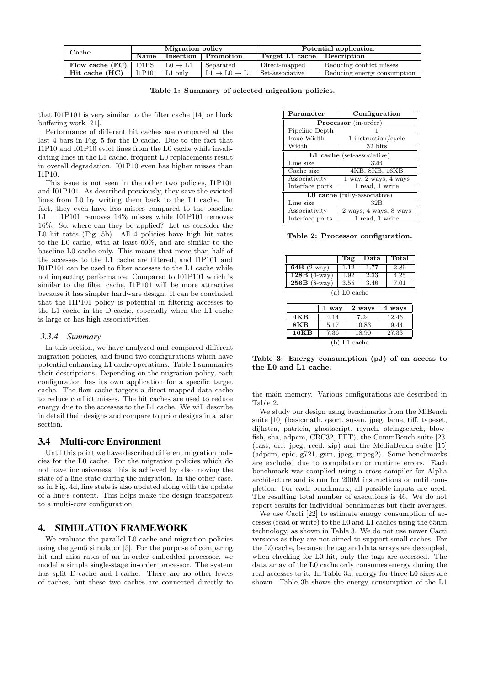| Cache                       | Migration policy |                     |                                    | Potential application       |                             |
|-----------------------------|------------------|---------------------|------------------------------------|-----------------------------|-----------------------------|
|                             | <b>Name</b>      |                     | Insertion   Promotion              | Target L1 cache Description |                             |
| Flow cache $(FC)$   $101PS$ |                  | $LO \rightarrow L1$ | Separated                          | Direct-mapped               | Reducing conflict misses    |
| Hit cache (HC)              | I1P101           | L1 only             | $L1 \rightarrow L0 \rightarrow L1$ | Set-associative             | Reducing energy consumption |

**Table 1: Summary of selected migration policies.**

that I01P101 is very similar to the filter cache [14] or block buffering work [21].

Performance of different hit caches are compared at the last 4 bars in Fig. 5 for the D-cache. Due to the fact that I1P10 and I01P10 evict lines from the L0 cache while invalidating lines in the L1 cache, frequent L0 replacements result in overall degradation. I01P10 even has higher misses than I1P10.

This issue is not seen in the other two policies, I1P101 and I01P101. As described previously, they save the evicted lines from L0 by writing them back to the L1 cache. In fact, they even have less misses compared to the baseline L1 – I1P101 removes 14% misses while I01P101 removes 16%. So, where can they be applied? Let us consider the L0 hit rates (Fig. 5b). All 4 policies have high hit rates to the L0 cache, with at least 60%, and are similar to the baseline L0 cache only. This means that more than half of the accesses to the L1 cache are filtered, and I1P101 and I01P101 can be used to filter accesses to the L1 cache while not impacting performance. Compared to I01P101 which is similar to the filter cache, I1P101 will be more attractive because it has simpler hardware design. It can be concluded that the I1P101 policy is potential in filtering accesses to the L1 cache in the D-cache, especially when the L1 cache is large or has high associativities.

#### *3.3.4 Summary*

In this section, we have analyzed and compared different migration policies, and found two configurations which have potential enhancing L1 cache operations. Table 1 summaries their descriptions. Depending on the migration policy, each configuration has its own application for a specific target cache. The flow cache targets a direct-mapped data cache to reduce conflict misses. The hit caches are used to reduce energy due to the accesses to the L1 cache. We will describe in detail their designs and compare to prior designs in a later section.

# 3.4 Multi-core Environment

Until this point we have described different migration policies for the L0 cache. For the migration policies which do not have inclusiveness, this is achieved by also moving the state of a line state during the migration. In the other case, as in Fig. 4d, line state is also updated along with the update of a line's content. This helps make the design transparent to a multi-core configuration.

# 4. SIMULATION FRAMEWORK

We evaluate the parallel L0 cache and migration policies using the gem5 simulator [5]. For the purpose of comparing hit and miss rates of an in-order embedded processor, we model a simple single-stage in-order processor. The system has split D-cache and I-cache. There are no other levels of caches, but these two caches are connected directly to

| Parameter                    | Configuration               |  |  |
|------------------------------|-----------------------------|--|--|
| Processor (in-order)         |                             |  |  |
| Pipeline Depth               |                             |  |  |
| Issue Width                  | 1 instruction/cycle         |  |  |
| Width                        | 32 bits                     |  |  |
| L1 cache (set-associative)   |                             |  |  |
| Line size                    | 32B                         |  |  |
| Cache size                   | 4KB, 8KB, 16KB              |  |  |
| Associativity                | $1$ way, $2$ ways, $4$ ways |  |  |
| Interface ports              | 1 read, 1 write             |  |  |
| L0 cache (fully-associative) |                             |  |  |
| Line size                    | 32B                         |  |  |
| Associativity                | 2 ways, 4 ways, 8 ways      |  |  |
| Interface ports              | 1 read, 1 write             |  |  |

**Table 2: Processor configuration.**

|                          | Tag            |      | Data $\parallel$ Total |
|--------------------------|----------------|------|------------------------|
| $\overline{64B}$ (2-way) | 1.12           | 1.77 | 2.89                   |
| $128B$ (4-way)           | 1.92           | 2.33 | 4.25                   |
| $256B$ (8-way)           | 3.55           | 3.46 | 7.01                   |
|                          | $(a)$ L0 cache |      |                        |

|                  | 1 way | 2 ways         | 4 ways |
|------------------|-------|----------------|--------|
| 4KB              | 4.14  | 7.24           | 12.46  |
| 8 <sub>K</sub> B | 5.17  | 10.83          | 19.44  |
| 16KB             | 7.36  | 18.90          | 27.33  |
|                  |       | $(b)$ L1 cache |        |

**Table 3: Energy consumption (pJ) of an access to the L0 and L1 cache.**

the main memory. Various configurations are described in Table 2.

We study our design using benchmarks from the MiBench suite [10] (basicmath, qsort, susan, jpeg, lame, tiff, typeset, dijkstra, patricia, ghostscript, rsynch, stringsearch, blowfish, sha, adpcm, CRC32, FFT), the CommBench suite [23] (cast, drr, jpeg, reed, zip) and the MediaBench suite [15] (adpcm, epic, g721, gsm, jpeg, mpeg2). Some benchmarks are excluded due to compilation or runtime errors. Each benchmark was complied using a cross compiler for Alpha architecture and is run for 200M instructions or until completion. For each benchmark, all possible inputs are used. The resulting total number of executions is 46. We do not report results for individual benchmarks but their averages.

We use Cacti [22] to estimate energy consumption of accesses (read or write) to the L0 and L1 caches using the 65nm technology, as shown in Table 3. We do not use newer Cacti versions as they are not aimed to support small caches. For the L0 cache, because the tag and data arrays are decoupled, when checking for L0 hit, only the tags are accessed. The data array of the L0 cache only consumes energy during the real accesses to it. In Table 3a, energy for three L0 sizes are shown. Table 3b shows the energy consumption of the L1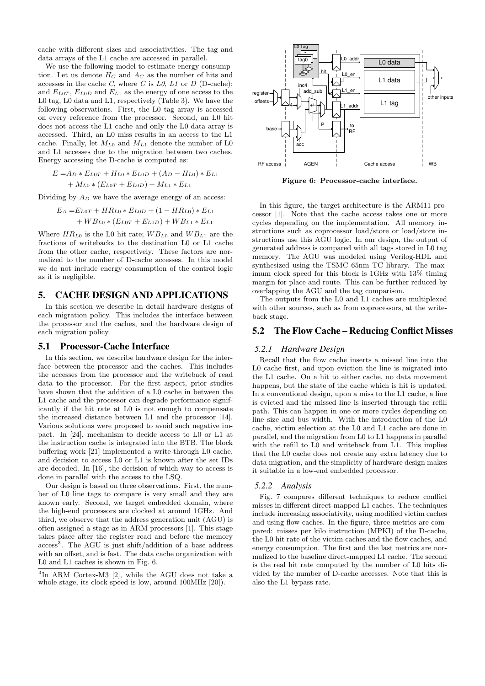cache with different sizes and associativities. The tag and data arrays of the L1 cache are accessed in parallel.

We use the following model to estimate energy consumption. Let us denote  $H_C$  and  $A_C$  as the number of hits and accesses in the cache *C*, where *C* is *L0*, *L1* or *D* (D-cache); and  $E_{L0T}$ ,  $E_{L0D}$  and  $E_{L1}$  as the energy of one access to the L0 tag, L0 data and L1, respectively (Table 3). We have the following observations. First, the L0 tag array is accessed on every reference from the processor. Second, an L0 hit does not access the L1 cache and only the L0 data array is accessed. Third, an L0 miss results in an access to the L1 cache. Finally, let  $M_{L0}$  and  $M_{L1}$  denote the number of L0 and L1 accesses due to the migration between two caches. Energy accessing the D-cache is computed as:

$$
E = A_D * E_{LOT} + H_{LO} * E_{L0D} + (A_D - H_{L0}) * E_{L1}
$$
  
+ 
$$
M_{L0} * (E_{LOT} + E_{L0D}) + M_{L1} * E_{L1}
$$

Dividing by  $A_D$  we have the average energy of an access:

$$
E_A = E_{LOT} + HR_{Lo} * E_{LOD} + (1 - HR_{LO}) * E_{L1} + WB_{Lo} * (E_{LOT} + E_{LOD}) + WB_{L1} * E_{L1}
$$

Where  $HR_{L0}$  is the L0 hit rate;  $WB_{L0}$  and  $WB_{L1}$  are the fractions of writebacks to the destination L0 or L1 cache from the other cache, respectively. These factors are normalized to the number of D-cache accesses. In this model we do not include energy consumption of the control logic as it is negligible.

#### 5. CACHE DESIGN AND APPLICATIONS

In this section we describe in detail hardware designs of each migration policy. This includes the interface between the processor and the caches, and the hardware design of each migration policy.

#### 5.1 Processor-Cache Interface

In this section, we describe hardware design for the interface between the processor and the caches. This includes the accesses from the processor and the writeback of read data to the processor. For the first aspect, prior studies have shown that the addition of a L0 cache in between the L1 cache and the processor can degrade performance significantly if the hit rate at L0 is not enough to compensate the increased distance between L1 and the processor [14]. Various solutions were proposed to avoid such negative impact. In [24], mechanism to decide access to L0 or L1 at the instruction cache is integrated into the BTB. The block buffering work [21] implemented a write-through L0 cache, and decision to access L0 or L1 is known after the set IDs are decoded. In [16], the decision of which way to access is done in parallel with the access to the LSQ.

Our design is based on three observations. First, the number of L0 line tags to compare is very small and they are known early. Second, we target embedded domain, where the high-end processors are clocked at around 1GHz. And third, we observe that the address generation unit (AGU) is often assigned a stage as in ARM processors [1]. This stage takes place after the register read and before the memory access<sup>3</sup>. The AGU is just shift/addition of a base address with an offset, and is fast. The data cache organization with L0 and L1 caches is shown in Fig. 6.



**Figure 6: Processor-cache interface.**

In this figure, the target architecture is the ARM11 processor [1]. Note that the cache access takes one or more cycles depending on the implementation. All memory instructions such as coprocessor load/store or load/store instructions use this AGU logic. In our design, the output of generated address is compared with all tags stored in L0 tag memory. The AGU was modeled using Verilog-HDL and synthesized using the TSMC 65nm TC library. The maximum clock speed for this block is 1GHz with 13% timing margin for place and route. This can be further reduced by overlapping the AGU and the tag comparison.

The outputs from the L0 and L1 caches are multiplexed with other sources, such as from coprocessors, at the writeback stage.

### 5.2 The Flow Cache – Reducing Conflict Misses

#### *5.2.1 Hardware Design*

Recall that the flow cache inserts a missed line into the L0 cache first, and upon eviction the line is migrated into the L1 cache. On a hit to either cache, no data movement happens, but the state of the cache which is hit is updated. In a conventional design, upon a miss to the L1 cache, a line is evicted and the missed line is inserted through the refill path. This can happen in one or more cycles depending on line size and bus width. With the introduction of the L0 cache, victim selection at the L0 and L1 cache are done in parallel, and the migration from L0 to L1 happens in parallel with the refill to L0 and writeback from L1. This implies that the L0 cache does not create any extra latency due to data migration, and the simplicity of hardware design makes it suitable in a low-end embedded processor.

#### *5.2.2 Analysis*

Fig. 7 compares different techniques to reduce conflict misses in different direct-mapped L1 caches. The techniques include increasing associativity, using modified victim caches and using flow caches. In the figure, three metrics are compared: misses per kilo instruction (MPKI) of the D-cache, the L0 hit rate of the victim caches and the flow caches, and energy consumption. The first and the last metrics are normalized to the baseline direct-mapped L1 cache. The second is the real hit rate computed by the number of L0 hits divided by the number of D-cache accesses. Note that this is also the L1 bypass rate.

<sup>3</sup> In ARM Cortex-M3 [2], while the AGU does not take a whole stage, its clock speed is low, around 100MHz [20]).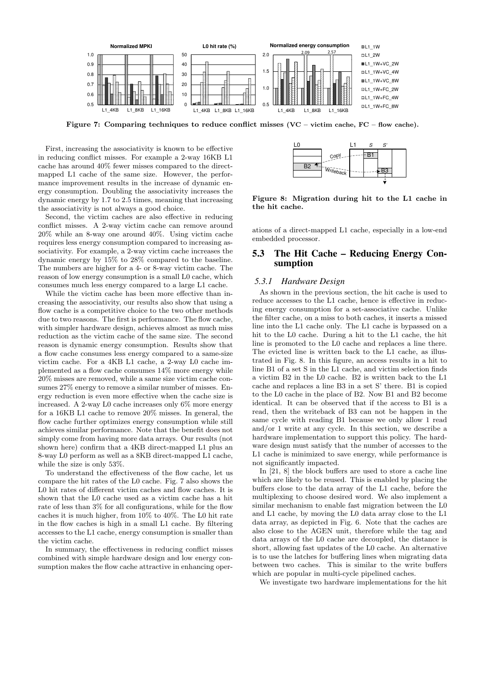

**Figure 7: Comparing techniques to reduce conflict misses (VC – victim cache, FC – flow cache).**

First, increasing the associativity is known to be effective in reducing conflict misses. For example a 2-way 16KB L1 cache has around 40% fewer misses compared to the directmapped L1 cache of the same size. However, the performance improvement results in the increase of dynamic energy consumption. Doubling the associativity increases the dynamic energy by 1.7 to 2.5 times, meaning that increasing the associativity is not always a good choice.

Second, the victim caches are also effective in reducing conflict misses. A 2-way victim cache can remove around 20% while an 8-way one around 40%. Using victim cache requires less energy consumption compared to increasing associativity. For example, a 2-way victim cache increases the dynamic energy by 15% to 28% compared to the baseline. The numbers are higher for a 4- or 8-way victim cache. The reason of low energy consumption is a small L0 cache, which consumes much less energy compared to a large L1 cache.

While the victim cache has been more effective than increasing the associativity, our results also show that using a flow cache is a competitive choice to the two other methods due to two reasons. The first is performance. The flow cache, with simpler hardware design, achieves almost as much miss reduction as the victim cache of the same size. The second reason is dynamic energy consumption. Results show that a flow cache consumes less energy compared to a same-size victim cache. For a 4KB L1 cache, a 2-way L0 cache implemented as a flow cache consumes 14% more energy while 20% misses are removed, while a same size victim cache consumes 27% energy to remove a similar number of misses. Energy reduction is even more effective when the cache size is increased. A 2-way L0 cache increases only 6% more energy for a 16KB L1 cache to remove 20% misses. In general, the flow cache further optimizes energy consumption while still achieves similar performance. Note that the benefit does not simply come from having more data arrays. Our results (not shown here) confirm that a 4KB direct-mapped L1 plus an 8-way L0 perform as well as a 8KB direct-mapped L1 cache, while the size is only 53%.

To understand the effectiveness of the flow cache, let us compare the hit rates of the L0 cache. Fig. 7 also shows the L0 hit rates of different victim caches and flow caches. It is shown that the L0 cache used as a victim cache has a hit rate of less than 3% for all configurations, while for the flow caches it is much higher, from 10% to 40%. The L0 hit rate in the flow caches is high in a small L1 cache. By filtering accesses to the L1 cache, energy consumption is smaller than the victim cache.

In summary, the effectiveness in reducing conflict misses combined with simple hardware design and low energy consumption makes the flow cache attractive in enhancing oper-



**Figure 8: Migration during hit to the L1 cache in the hit cache.**

ations of a direct-mapped L1 cache, especially in a low-end embedded processor.

# 5.3 The Hit Cache – Reducing Energy Consumption

#### *5.3.1 Hardware Design*

As shown in the previous section, the hit cache is used to reduce accesses to the L1 cache, hence is effective in reducing energy consumption for a set-associative cache. Unlike the filter cache, on a miss to both caches, it inserts a missed line into the L1 cache only. The L1 cache is bypassed on a hit to the L0 cache. During a hit to the L1 cache, the hit line is promoted to the L0 cache and replaces a line there. The evicted line is written back to the L1 cache, as illustrated in Fig. 8. In this figure, an access results in a hit to line B1 of a set S in the L1 cache, and victim selection finds a victim B2 in the L0 cache. B2 is written back to the L1 cache and replaces a line B3 in a set S' there. B1 is copied to the L0 cache in the place of B2. Now B1 and B2 become identical. It can be observed that if the access to B1 is a read, then the writeback of B3 can not be happen in the same cycle with reading B1 because we only allow 1 read and/or 1 write at any cycle. In this section, we describe a hardware implementation to support this policy. The hardware design must satisfy that the number of accesses to the L1 cache is minimized to save energy, while performance is not significantly impacted.

In [21, 8] the block buffers are used to store a cache line which are likely to be reused. This is enabled by placing the buffers close to the data array of the L1 cache, before the multiplexing to choose desired word. We also implement a similar mechanism to enable fast migration between the L0 and L1 cache, by moving the L0 data array close to the L1 data array, as depicted in Fig. 6. Note that the caches are also close to the AGEN unit, therefore while the tag and data arrays of the L0 cache are decoupled, the distance is short, allowing fast updates of the L0 cache. An alternative is to use the latches for buffering lines when migrating data between two caches. This is similar to the write buffers which are popular in multi-cycle pipelined caches.

We investigate two hardware implementations for the hit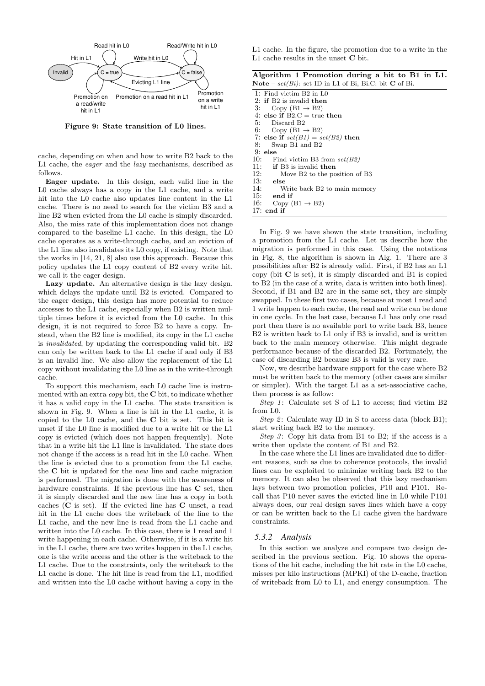

**Figure 9: State transition of L0 lines.**

cache, depending on when and how to write B2 back to the L1 cache, the *eager* and the *lazy* mechanisms, described as follows.

**Eager update.** In this design, each valid line in the L0 cache always has a copy in the L1 cache, and a write hit into the L0 cache also updates line content in the L1 cache. There is no need to search for the victim B3 and a line B2 when evicted from the L0 cache is simply discarded. Also, the miss rate of this implementation does not change compared to the baseline L1 cache. In this design, the L0 cache operates as a write-through cache, and an eviction of the L1 line also invalidates its L0 copy, if existing. Note that the works in [14, 21, 8] also use this approach. Because this policy updates the L1 copy content of B2 every write hit, we call it the eager design.

Lazy update. An alternative design is the lazy design, which delays the update until B2 is evicted. Compared to the eager design, this design has more potential to reduce accesses to the L1 cache, especially when B2 is written multiple times before it is evicted from the L0 cache. In this design, it is not required to force B2 to have a copy. Instead, when the B2 line is modified, its copy in the L1 cache is *invalidated*, by updating the corresponding valid bit. B2 can only be written back to the L1 cache if and only if B3 is an invalid line. We also allow the replacement of the L1 copy without invalidating the L0 line as in the write-through cache.

To support this mechanism, each L0 cache line is instrumented with an extra *copy* bit, the **C** bit, to indicate whether it has a valid copy in the L1 cache. The state transition is shown in Fig. 9. When a line is hit in the L1 cache, it is copied to the L0 cache, and the **C** bit is set. This bit is unset if the L0 line is modified due to a write hit or the L1 copy is evicted (which does not happen frequently). Note that in a write hit the L1 line is invalidated. The state does not change if the access is a read hit in the L0 cache. When the line is evicted due to a promotion from the L1 cache, the **C** bit is updated for the *new* line and cache migration is performed. The migration is done with the awareness of hardware constraints. If the previous line has **C** set, then it is simply discarded and the new line has a copy in both caches (**C** is set). If the evicted line has **C** unset, a read hit in the L1 cache does the writeback of the line to the L1 cache, and the new line is read from the L1 cache and written into the L0 cache. In this case, there is 1 read and 1 write happening in each cache. Otherwise, if it is a write hit in the L1 cache, there are two writes happen in the L1 cache, one is the write access and the other is the writeback to the L1 cache. Due to the constraints, only the writeback to the L1 cache is done. The hit line is read from the L1, modified and written into the L0 cache without having a copy in the

L1 cache. In the figure, the promotion due to a write in the L1 cache results in the unset **C** bit.

| Algorithm 1 Promotion during a hit to B1 in L1.                         |  |  |  |  |
|-------------------------------------------------------------------------|--|--|--|--|
| <b>Note</b> – $set(Bi)$ : set ID in L1 of Bi, Bi.C: bit <b>C</b> of Bi. |  |  |  |  |

| $1.0000$ $0.001$ $1.000$ $1.001$ $1.01$ $1.01$ $1.01$ $1.000$ |
|---------------------------------------------------------------|
| 1: Find victim B2 in L0                                       |
| 2: if $B2$ is invalid then                                    |
| 3: Copy $(B1 \rightarrow B2)$                                 |
| 4: else if $B2.C = true$ then                                 |
| 5: Discard B2                                                 |
| 6: Copy $(B1 \rightarrow B2)$                                 |
| 7: else if $set(B1) = set(B2)$ then                           |
| 8:<br>Swap B1 and B2                                          |
| $9:$ else                                                     |
| 10: Find victim B3 from $set(B2)$                             |
| 11: if B3 is invalid then                                     |
| 12:<br>Move B2 to the position of B3                          |
| 13:<br>else                                                   |
| 14:<br>Write back B2 to main memory                           |
| $15:$ end if                                                  |
| 16:<br>Copy (B1 $\rightarrow$ B2)                             |
| $17:$ end if                                                  |
|                                                               |

In Fig. 9 we have shown the state transition, including a promotion from the L1 cache. Let us describe how the migration is performed in this case. Using the notations in Fig. 8, the algorithm is shown in Alg. 1. There are 3 possibilities after B2 is already valid. First, if B2 has an L1 copy (bit **C** is set), it is simply discarded and B1 is copied to B2 (in the case of a write, data is written into both lines). Second, if B1 and B2 are in the same set, they are simply swapped. In these first two cases, because at most 1 read and 1 write happen to each cache, the read and write can be done in one cycle. In the last case, because L1 has only one read port then there is no available port to write back B3, hence B2 is written back to L1 only if B3 is invalid, and is written back to the main memory otherwise. This might degrade performance because of the discarded B2. Fortunately, the case of discarding B2 because B3 is valid is very rare.

Now, we describe hardware support for the case where B2 must be written back to the memory (other cases are similar or simpler). With the target L1 as a set-associative cache, then process is as follow:

*Step 1* : Calculate set S of L1 to access; find victim B2 from L0.

*Step 2*: Calculate way ID in S to access data (block B1); start writing back B2 to the memory.

*Step 3*: Copy hit data from B1 to B2; if the access is a write then update the content of B1 and B2.

In the case where the L1 lines are invalidated due to different reasons, such as due to coherence protocols, the invalid lines can be exploited to minimize writing back B2 to the memory. It can also be observed that this lazy mechanism lays between two promotion policies, P10 and P101. Recall that P10 never saves the evicted line in L0 while P101 always does, our real design saves lines which have a copy or can be written back to the L1 cache given the hardware constraints.

#### *5.3.2 Analysis*

In this section we analyze and compare two design described in the previous section. Fig. 10 shows the operations of the hit cache, including the hit rate in the L0 cache, misses per kilo instructions (MPKI) of the D-cache, fraction of writeback from L0 to L1, and energy consumption. The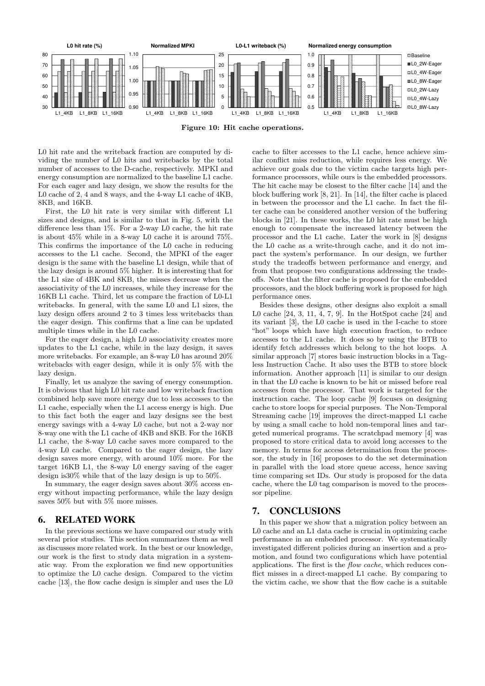

**Figure 10: Hit cache operations.**

L0 hit rate and the writeback fraction are computed by dividing the number of L0 hits and writebacks by the total number of accesses to the D-cache, respectively. MPKI and energy consumption are normalized to the baseline L1 cache. For each eager and lazy design, we show the results for the L0 cache of 2, 4 and 8 ways, and the 4-way L1 cache of 4KB, 8KB, and 16KB.

First, the L0 hit rate is very similar with different L1 sizes and designs, and is similar to that in Fig. 5, with the difference less than 1%. For a 2-way L0 cache, the hit rate is about 45% while in a 8-way L0 cache it is around 75%. This confirms the importance of the L0 cache in reducing accesses to the L1 cache. Second, the MPKI of the eager design is the same with the baseline L1 design, while that of the lazy design is around 5% higher. It is interesting that for the L1 size of 4BK and 8KB, the misses decrease when the associativity of the L0 increases, while they increase for the 16KB L1 cache. Third, let us compare the fraction of L0-L1 writebacks. In general, with the same L0 and L1 sizes, the lazy design offers around 2 to 3 times less writebacks than the eager design. This confirms that a line can be updated multiple times while in the L0 cache.

For the eager design, a high L0 associativity creates more updates to the L1 cache, while in the lazy design, it saves more writebacks. For example, an 8-way L0 has around 20% writebacks with eager design, while it is only 5% with the lazy design.

Finally, let us analyze the saving of energy consumption. It is obvious that high L0 hit rate and low writeback fraction combined help save more energy due to less accesses to the L1 cache, especially when the L1 access energy is high. Due to this fact both the eager and lazy designs see the best energy savings with a 4-way L0 cache, but not a 2-way nor 8-way one with the L1 cache of 4KB and 8KB. For the 16KB L1 cache, the 8-way L0 cache saves more compared to the 4-way L0 cache. Compared to the eager design, the lazy design saves more energy, with around 10% more. For the target 16KB L1, the 8-way L0 energy saving of the eager design is30% while that of the lazy design is up to 50%.

In summary, the eager design saves about 30% access energy without impacting performance, while the lazy design saves 50% but with 5% more misses.

## 6. RELATED WORK

In the previous sections we have compared our study with several prior studies. This section summarizes them as well as discusses more related work. In the best or our knowledge, our work is the first to study data migration in a systematic way. From the exploration we find new opportunities to optimize the L0 cache design. Compared to the victim cache [13], the flow cache design is simpler and uses the L0 cache to filter accesses to the L1 cache, hence achieve similar conflict miss reduction, while requires less energy. We achieve our goals due to the victim cache targets high performance processors, while ours is the embedded processors. The hit cache may be closest to the filter cache [14] and the block buffering work [8, 21]. In [14], the filter cache is placed in between the processor and the L1 cache. In fact the filter cache can be considered another version of the buffering blocks in [21]. In these works, the L0 hit rate must be high enough to compensate the increased latency between the processor and the L1 cache. Later the work in [8] designs the L0 cache as a write-through cache, and it do not impact the system's performance. In our design, we further study the tradeoffs between performance and energy, and from that propose two configurations addressing the tradeoffs. Note that the filter cache is proposed for the embedded processors, and the block buffering work is proposed for high performance ones.

Besides these designs, other designs also exploit a small L0 cache [24, 3, 11, 4, 7, 9]. In the HotSpot cache [24] and its variant [3], the L0 cache is used in the I-cache to store "hot" loops which have high execution fraction, to reduce accesses to the L1 cache. It does so by using the BTB to identify fetch addresses which belong to the hot loops. A similar approach [7] stores basic instruction blocks in a Tagless Instruction Cache. It also uses the BTB to store block information. Another approach [11] is similar to our design in that the L0 cache is known to be hit or missed before real accesses from the processor. That work is targeted for the instruction cache. The loop cache [9] focuses on designing cache to store loops for special purposes. The Non-Temporal Streaming cache [19] improves the direct-mapped L1 cache by using a small cache to hold non-temporal lines and targeted numerical programs. The scratchpad memory [4] was proposed to store critical data to avoid long accesses to the memory. In terms for access determination from the processor, the study in [16] proposes to do the set determination in parallel with the load store queue access, hence saving time comparing set IDs. Our study is proposed for the data cache, where the L0 tag comparison is moved to the processor pipeline.

# 7. CONCLUSIONS

In this paper we show that a migration policy between an L0 cache and an L1 data cache is crucial in optimizing cache performance in an embedded processor. We systematically investigated different policies during an insertion and a promotion, and found two configurations which have potential applications. The first is the *flow cache*, which reduces conflict misses in a direct-mapped L1 cache. By comparing to the victim cache, we show that the flow cache is a suitable